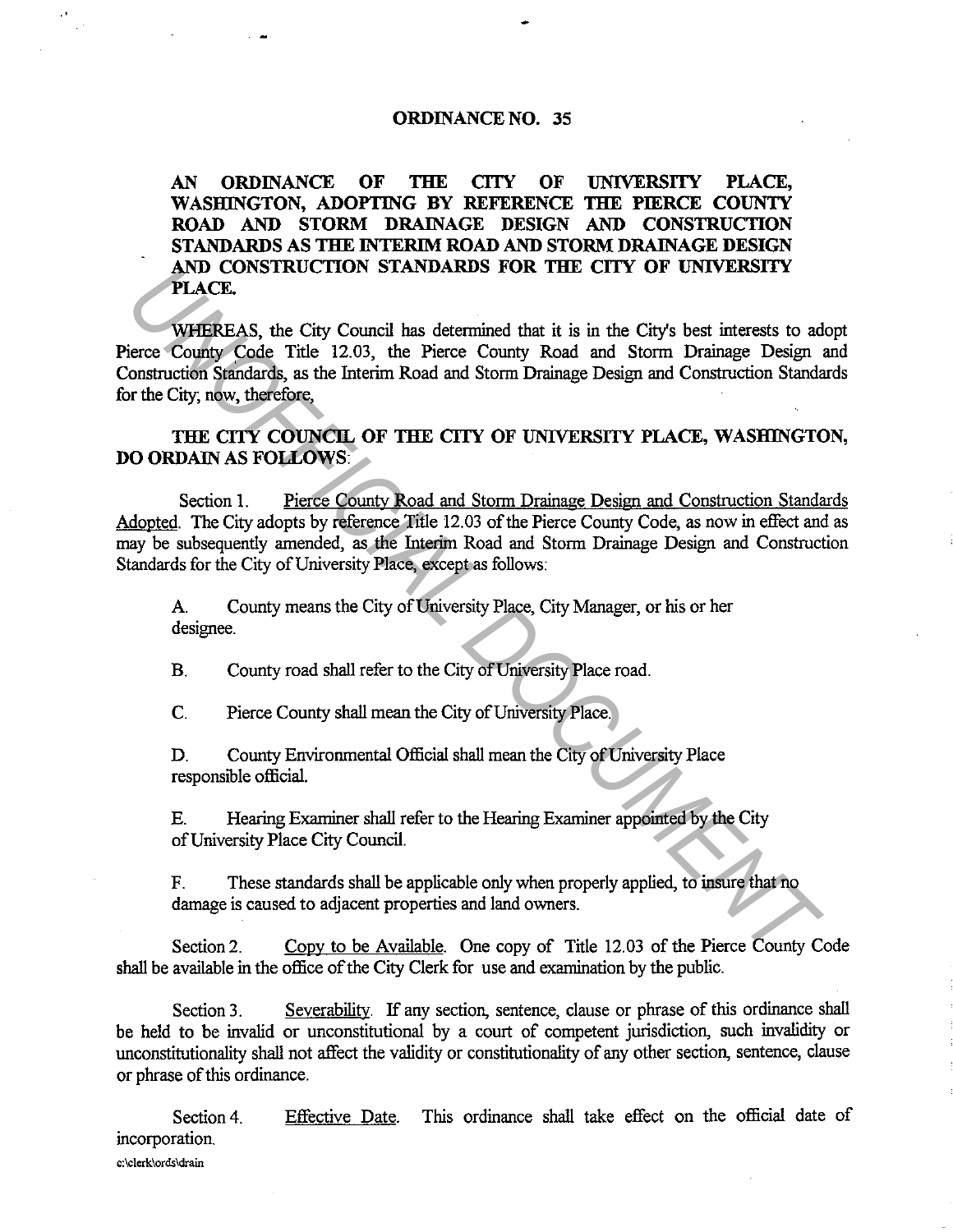## **ORDINANCE NO. 35**

 $\mathbf{A}$ 

**AN ORDINANCE OF THE CITY OF UNIVERSITY PLACE,**  WASHINGTON, ADOPTING BY REFERENCE THE PIERCE COUNTY **ROAD AND STORM DRAINAGE DESIGN AND CONSTRUCTION STANDARDS AS THE INTERIM ROAD AND STORM DRAINAGE DESIGN AND CONSTRUCTION STANDARDS FOR THE CITY OF UNIVERSITY PLACE.** 

WHEREAS, the City Council has detennined that it is in the City's best interests to adopt Pierce County Code Title 12.03, the Pierce County Road and Storm Drainage Design and Construction Standards, as the Interim Road and Storm Drainage Design and Construction Standards for the City; now, therefore, **THACE.**<br> **PHACE.**<br> **WHIREAS, the City Council has determined that it is in the City's best interests to a<br>
ieroe County Code Title 12.03, the Pierce County Road and Storm Drainage Design<br>
onstruction Sinadary, as the Inte** 

**THE CITY COUNCIL OF THE CITY OF UNIVERSITY PLACE, WASHJNGTON, DO ORDAIN AS FOLLOWS:** 

Section 1. Pierce County Road and Storm Drainage Design and Construction Standards Adopted. The City adopts by reference Title 12.03 of the Pierce County Code, as now in effect and as may be subsequently amended, as the Interim Road and Storm Drainage Design and Construction Standards for the City of University Place, except as follows:

A County means the City of University Place, City Manager, or his or her designee.

B. County road shall refer to the City of University Place road.

C. Pierce County shall mean the City of University Place.

D. County Environmental Official shall mean the City of University Place responsible official.

E. Hearing Examiner shall refer to the Hearing Examiner appointed by the City of University Place City Council.

F. These standards shall be applicable only when properly applied, to insure that no damage is caused to adjacent properties and land owners.

Section 2. Copy to be Available. One copy of Title 12.03 of the Pierce County Code shall be available in the office of the City Clerk for use and examination by the public.

Section 3. Severability. If any section, sentence, clause or phrase of this ordinance shall be held to be invalid or unconstitutional by a court of competent jurisdiction, such invalidity or unconstitutionality shall not affect the validity or constitutionality of any other section, sentence, clause or phrase of this ordinance.

Section 4 incorporation. **c:\clerk\ords\drain**  Effective Date. This ordinance shall take effect on the official date of